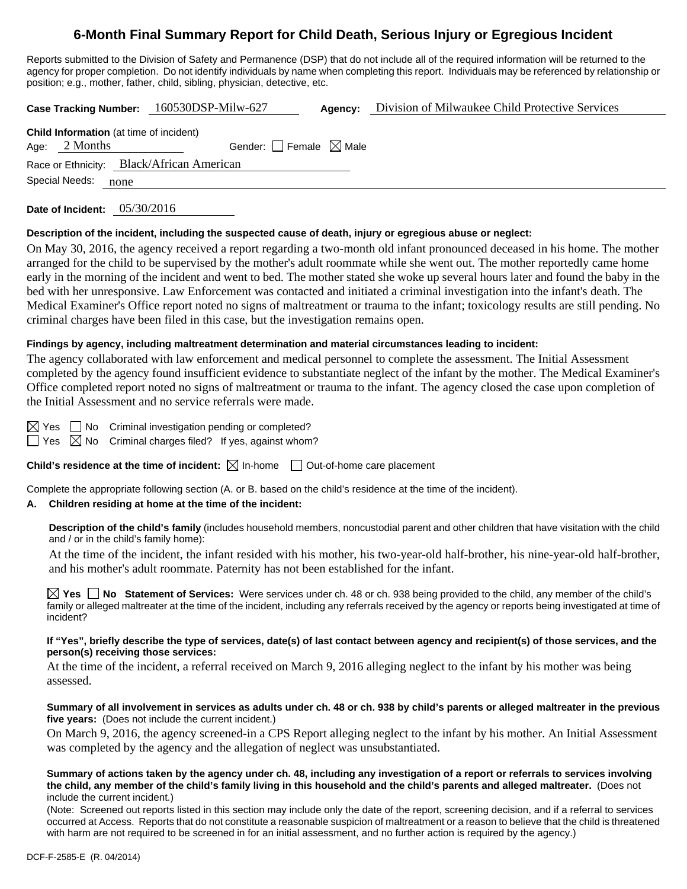# **6-Month Final Summary Report for Child Death, Serious Injury or Egregious Incident**

Reports submitted to the Division of Safety and Permanence (DSP) that do not include all of the required information will be returned to the agency for proper completion. Do not identify individuals by name when completing this report. Individuals may be referenced by relationship or position; e.g., mother, father, child, sibling, physician, detective, etc.

**Case Tracking Number:** 160530DSP-Milw-627 **Agency:** Division of Milwaukee Child Protective Services

**Date of Incident:** 05/30/2016

### **Description of the incident, including the suspected cause of death, injury or egregious abuse or neglect:**

On May 30, 2016, the agency received a report regarding a two-month old infant pronounced deceased in his home. The mother arranged for the child to be supervised by the mother's adult roommate while she went out. The mother reportedly came home early in the morning of the incident and went to bed. The mother stated she woke up several hours later and found the baby in the bed with her unresponsive. Law Enforcement was contacted and initiated a criminal investigation into the infant's death. The Medical Examiner's Office report noted no signs of maltreatment or trauma to the infant; toxicology results are still pending. No criminal charges have been filed in this case, but the investigation remains open.

### **Findings by agency, including maltreatment determination and material circumstances leading to incident:**

The agency collaborated with law enforcement and medical personnel to complete the assessment. The Initial Assessment completed by the agency found insufficient evidence to substantiate neglect of the infant by the mother. The Medical Examiner's Office completed report noted no signs of maltreatment or trauma to the infant. The agency closed the case upon completion of the Initial Assessment and no service referrals were made.

 $\boxtimes$  Yes  $\Box$  No Criminal investigation pending or completed?

 $\Box$  Yes  $\boxtimes$  No Criminal charges filed? If yes, against whom?

**Child's residence at the time of incident:**  $\boxtimes$  In-home  $\Box$  Out-of-home care placement

Complete the appropriate following section (A. or B. based on the child's residence at the time of the incident).

### **A. Children residing at home at the time of the incident:**

**Description of the child's family** (includes household members, noncustodial parent and other children that have visitation with the child and / or in the child's family home):

At the time of the incident, the infant resided with his mother, his two-year-old half-brother, his nine-year-old half-brother, and his mother's adult roommate. Paternity has not been established for the infant.

**Yes No Statement of Services:** Were services under ch. 48 or ch. 938 being provided to the child, any member of the child's family or alleged maltreater at the time of the incident, including any referrals received by the agency or reports being investigated at time of incident?

### **If "Yes", briefly describe the type of services, date(s) of last contact between agency and recipient(s) of those services, and the person(s) receiving those services:**

At the time of the incident, a referral received on March 9, 2016 alleging neglect to the infant by his mother was being assessed.

#### **Summary of all involvement in services as adults under ch. 48 or ch. 938 by child's parents or alleged maltreater in the previous five years:** (Does not include the current incident.)

On March 9, 2016, the agency screened-in a CPS Report alleging neglect to the infant by his mother. An Initial Assessment was completed by the agency and the allegation of neglect was unsubstantiated.

#### **Summary of actions taken by the agency under ch. 48, including any investigation of a report or referrals to services involving the child, any member of the child's family living in this household and the child's parents and alleged maltreater.** (Does not include the current incident.)

(Note: Screened out reports listed in this section may include only the date of the report, screening decision, and if a referral to services occurred at Access. Reports that do not constitute a reasonable suspicion of maltreatment or a reason to believe that the child is threatened with harm are not required to be screened in for an initial assessment, and no further action is required by the agency.)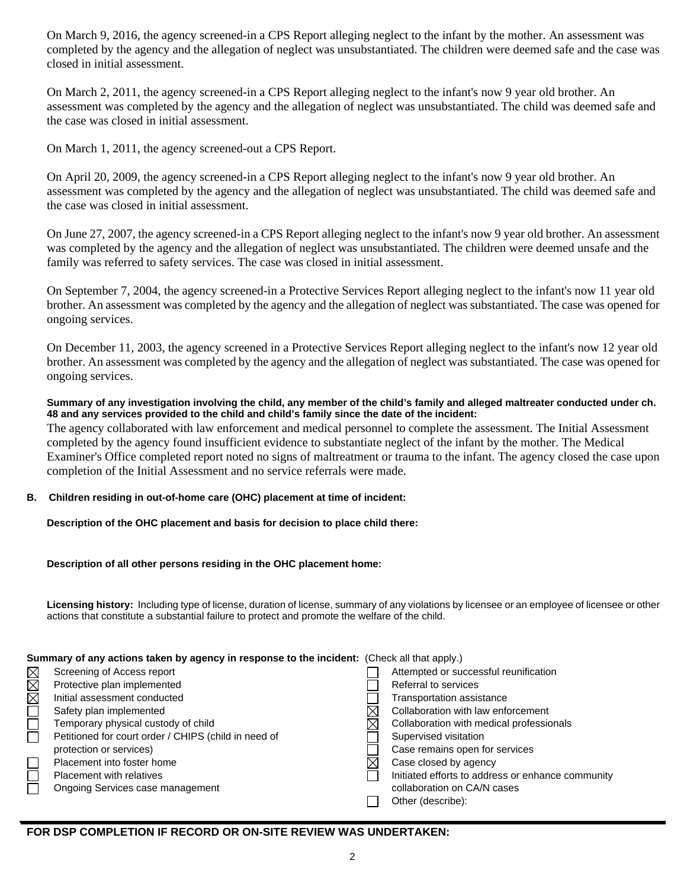On March 9, 2016, the agency screened-in a CPS Report alleging neglect to the infant by the mother. An assessment was completed by the agency and the allegation of neglect was unsubstantiated. The children were deemed safe and the case was closed in initial assessment.

On March 2, 2011, the agency screened-in a CPS Report alleging neglect to the infant's now 9 year old brother. An assessment was completed by the agency and the allegation of neglect was unsubstantiated. The child was deemed safe and the case was closed in initial assessment.

On March 1, 2011, the agency screened-out a CPS Report.

On April 20, 2009, the agency screened-in a CPS Report alleging neglect to the infant's now 9 year old brother. An assessment was completed by the agency and the allegation of neglect was unsubstantiated. The child was deemed safe and the case was closed in initial assessment.

On June 27, 2007, the agency screened-in a CPS Report alleging neglect to the infant's now 9 year old brother. An assessment was completed by the agency and the allegation of neglect was unsubstantiated. The children were deemed unsafe and the family was referred to safety services. The case was closed in initial assessment.

On September 7, 2004, the agency screened-in a Protective Services Report alleging neglect to the infant's now 11 year old brother. An assessment was completed by the agency and the allegation of neglect was substantiated. The case was opened for ongoing services.

On December 11, 2003, the agency screened in a Protective Services Report alleging neglect to the infant's now 12 year old brother. An assessment was completed by the agency and the allegation of neglect was substantiated. The case was opened for ongoing services.

### **Summary of any investigation involving the child, any member of the child's family and alleged maltreater conducted under ch. 48 and any services provided to the child and child's family since the date of the incident:**

The agency collaborated with law enforcement and medical personnel to complete the assessment. The Initial Assessment completed by the agency found insufficient evidence to substantiate neglect of the infant by the mother. The Medical Examiner's Office completed report noted no signs of maltreatment or trauma to the infant. The agency closed the case upon completion of the Initial Assessment and no service referrals were made.

# **B. Children residing in out-of-home care (OHC) placement at time of incident:**

**Description of the OHC placement and basis for decision to place child there:**

# **Description of all other persons residing in the OHC placement home:**

**Licensing history:** Including type of license, duration of license, summary of any violations by licensee or an employee of licensee or other actions that constitute a substantial failure to protect and promote the welfare of the child.

# **Summary of any actions taken by agency in response to the incident:** (Check all that apply.)

| $\boxtimes$ | Screening of Access report                           | Attempted or successful reunification             |
|-------------|------------------------------------------------------|---------------------------------------------------|
|             |                                                      |                                                   |
| $\boxtimes$ | Protective plan implemented                          | Referral to services                              |
| $\boxtimes$ | Initial assessment conducted                         | Transportation assistance                         |
|             | Safety plan implemented                              | Collaboration with law enforcement                |
|             | Temporary physical custody of child                  | Collaboration with medical professionals          |
|             | Petitioned for court order / CHIPS (child in need of | Supervised visitation                             |
|             | protection or services)                              | Case remains open for services                    |
|             | Placement into foster home                           | Case closed by agency                             |
|             | Placement with relatives                             | Initiated efforts to address or enhance community |
|             | Ongoing Services case management                     | collaboration on CA/N cases                       |
|             |                                                      | Other (describe):                                 |
|             |                                                      |                                                   |

# **FOR DSP COMPLETION IF RECORD OR ON-SITE REVIEW WAS UNDERTAKEN:**